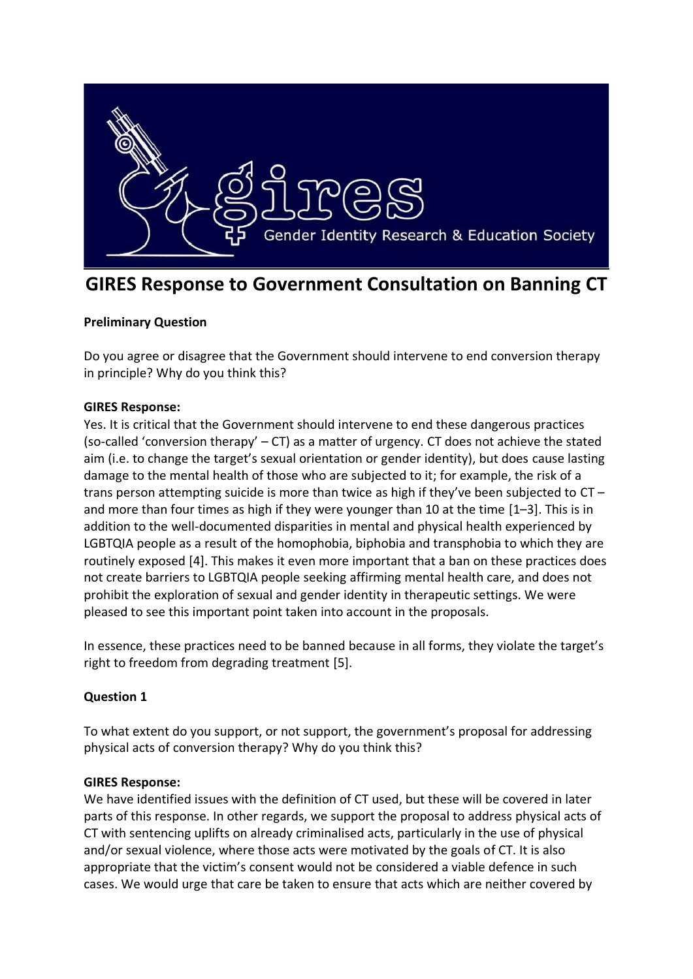

# **GIRES Response to Government Consultation on Banning CT**

# **Preliminary Question**

Do you agree or disagree that the Government should intervene to end conversion therapy in principle? Why do you think this?

# **GIRES Response:**

Yes. It is critical that the Government should intervene to end these dangerous practices (so-called 'conversion therapy' –  $CT$ ) as a matter of urgency.  $CT$  does not achieve the stated aim (i.e. to change the target's sexual orientation or gender identity), but does cause lasting damage to the mental health of those who are subjected to it; for example, the risk of a trans person attempting suicide is more than twice as high if they've been subjected to CT – and more than four times as high if they were younger than 10 at the time [1–3]. This is in addition to the well-documented disparities in mental and physical health experienced by LGBTQIA people as a result of the homophobia, biphobia and transphobia to which they are routinely exposed [4]. This makes it even more important that a ban on these practices does not create barriers to LGBTQIA people seeking affirming mental health care, and does not prohibit the exploration of sexual and gender identity in therapeutic settings. We were pleased to see this important point taken into account in the proposals.

In essence, these practices need to be banned because in all forms, they violate the target's right to freedom from degrading treatment [5].

# **Question 1**

To what extent do you support, or not support, the government's proposal for addressing physical acts of conversion therapy? Why do you think this?

# **GIRES Response:**

We have identified issues with the definition of CT used, but these will be covered in later parts of this response. In other regards, we support the proposal to address physical acts of CT with sentencing uplifts on already criminalised acts, particularly in the use of physical and/or sexual violence, where those acts were motivated by the goals of CT. It is also appropriate that the victim's consent would not be considered a viable defence in such cases. We would urge that care be taken to ensure that acts which are neither covered by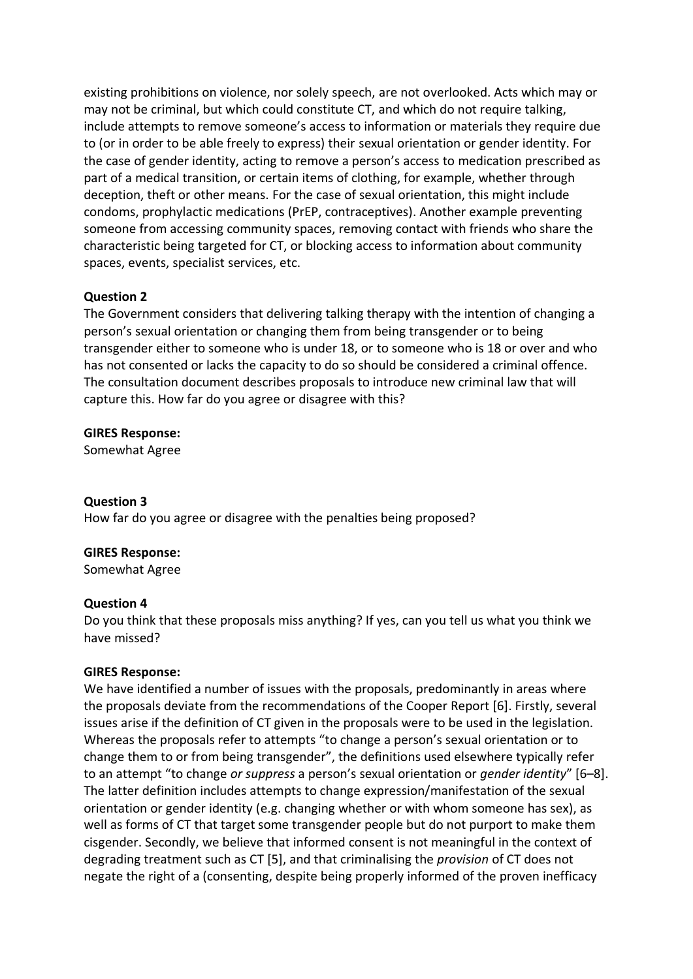existing prohibitions on violence, nor solely speech, are not overlooked. Acts which may or may not be criminal, but which could constitute CT, and which do not require talking, include attempts to remove someone's access to information or materials they require due to (or in order to be able freely to express) their sexual orientation or gender identity. For the case of gender identity, acting to remove a person's access to medication prescribed as part of a medical transition, or certain items of clothing, for example, whether through deception, theft or other means. For the case of sexual orientation, this might include condoms, prophylactic medications (PrEP, contraceptives). Another example preventing someone from accessing community spaces, removing contact with friends who share the characteristic being targeted for CT, or blocking access to information about community spaces, events, specialist services, etc.

# **Question 2**

The Government considers that delivering talking therapy with the intention of changing a person's sexual orientation or changing them from being transgender or to being transgender either to someone who is under 18, or to someone who is 18 or over and who has not consented or lacks the capacity to do so should be considered a criminal offence. The consultation document describes proposals to introduce new criminal law that will capture this. How far do you agree or disagree with this?

# **GIRES Response:**

Somewhat Agree

# **Question 3**

How far do you agree or disagree with the penalties being proposed?

# **GIRES Response:**

Somewhat Agree

# **Question 4**

Do you think that these proposals miss anything? If yes, can you tell us what you think we have missed?

# **GIRES Response:**

We have identified a number of issues with the proposals, predominantly in areas where the proposals deviate from the recommendations of the Cooper Report [6]. Firstly, several issues arise if the definition of CT given in the proposals were to be used in the legislation. Whereas the proposals refer to attempts "to change a person's sexual orientation or to change them to or from being transgender", the definitions used elsewhere typically refer to an attempt "to change *or suppress* a person's sexual orientation or *gender identity*" [6–8]. The latter definition includes attempts to change expression/manifestation of the sexual orientation or gender identity (e.g. changing whether or with whom someone has sex), as well as forms of CT that target some transgender people but do not purport to make them cisgender. Secondly, we believe that informed consent is not meaningful in the context of degrading treatment such as CT [5], and that criminalising the *provision* of CT does not negate the right of a (consenting, despite being properly informed of the proven inefficacy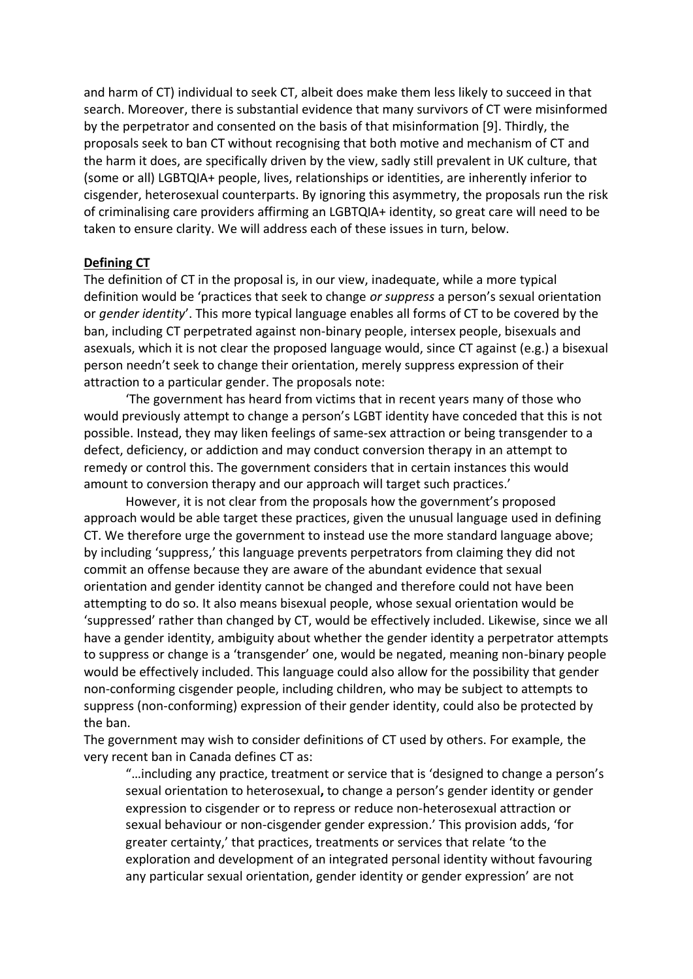and harm of CT) individual to seek CT, albeit does make them less likely to succeed in that search. Moreover, there is substantial evidence that many survivors of CT were misinformed by the perpetrator and consented on the basis of that misinformation [9]. Thirdly, the proposals seek to ban CT without recognising that both motive and mechanism of CT and the harm it does, are specifically driven by the view, sadly still prevalent in UK culture, that (some or all) LGBTQIA+ people, lives, relationships or identities, are inherently inferior to cisgender, heterosexual counterparts. By ignoring this asymmetry, the proposals run the risk of criminalising care providers affirming an LGBTQIA+ identity, so great care will need to be taken to ensure clarity. We will address each of these issues in turn, below.

# **Defining CT**

The definition of CT in the proposal is, in our view, inadequate, while a more typical definition would be 'practices that seek to change *or suppress* a person's sexual orientation or *gender identity*'. This more typical language enables all forms of CT to be covered by the ban, including CT perpetrated against non-binary people, intersex people, bisexuals and asexuals, which it is not clear the proposed language would, since CT against (e.g.) a bisexual person needn't seek to change their orientation, merely suppress expression of their attraction to a particular gender. The proposals note:

'The government has heard from victims that in recent years many of those who would previously attempt to change a person's LGBT identity have conceded that this is not possible. Instead, they may liken feelings of same-sex attraction or being transgender to a defect, deficiency, or addiction and may conduct conversion therapy in an attempt to remedy or control this. The government considers that in certain instances this would amount to conversion therapy and our approach will target such practices.'

However, it is not clear from the proposals how the government's proposed approach would be able target these practices, given the unusual language used in defining CT. We therefore urge the government to instead use the more standard language above; by including 'suppress,' this language prevents perpetrators from claiming they did not commit an offense because they are aware of the abundant evidence that sexual orientation and gender identity cannot be changed and therefore could not have been attempting to do so. It also means bisexual people, whose sexual orientation would be 'suppressed' rather than changed by CT, would be effectively included. Likewise, since we all have a gender identity, ambiguity about whether the gender identity a perpetrator attempts to suppress or change is a 'transgender' one, would be negated, meaning non-binary people would be effectively included. This language could also allow for the possibility that gender non-conforming cisgender people, including children, who may be subject to attempts to suppress (non-conforming) expression of their gender identity, could also be protected by the ban.

The government may wish to consider definitions of CT used by others. For example, the very recent ban in Canada defines CT as:

"…including any practice, treatment or service that is 'designed to change a person's sexual orientation to heterosexual**,** to change a person's gender identity or gender expression to cisgender or to repress or reduce non-heterosexual attraction or sexual behaviour or non-cisgender gender expression.' This provision adds, 'for greater certainty,' that practices, treatments or services that relate 'to the exploration and development of an integrated personal identity without favouring any particular sexual orientation, gender identity or gender expression' are not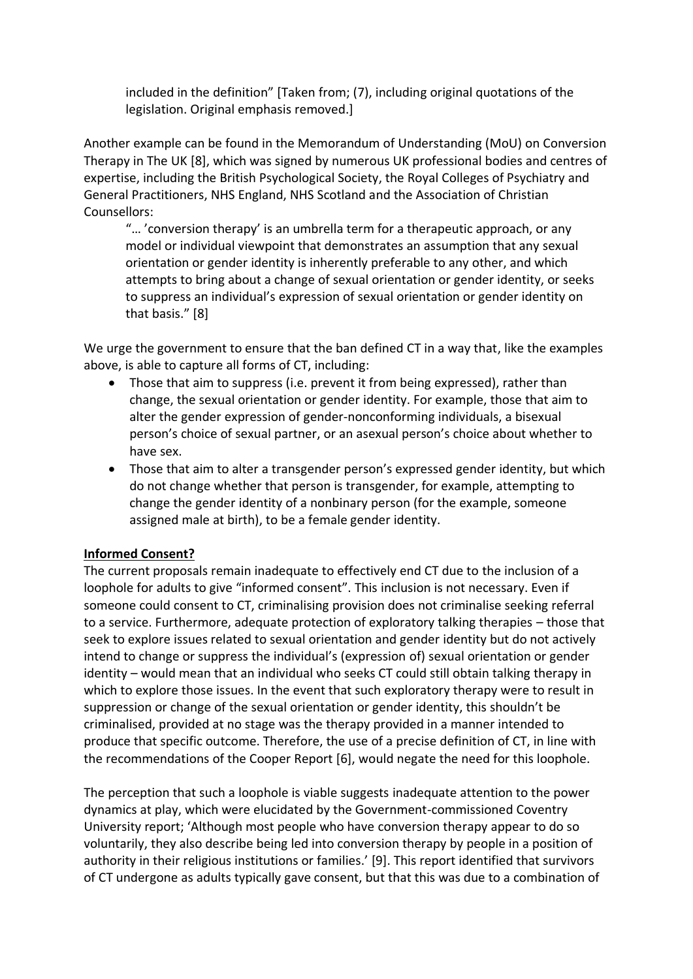included in the definition" [Taken from; (7), including original quotations of the legislation. Original emphasis removed.]

Another example can be found in the Memorandum of Understanding (MoU) on Conversion Therapy in The UK [8], which was signed by numerous UK professional bodies and centres of expertise, including the British Psychological Society, the Royal Colleges of Psychiatry and General Practitioners, NHS England, NHS Scotland and the Association of Christian Counsellors:

"… 'conversion therapy' is an umbrella term for a therapeutic approach, or any model or individual viewpoint that demonstrates an assumption that any sexual orientation or gender identity is inherently preferable to any other, and which attempts to bring about a change of sexual orientation or gender identity, or seeks to suppress an individual's expression of sexual orientation or gender identity on that basis." [8]

We urge the government to ensure that the ban defined CT in a way that, like the examples above, is able to capture all forms of CT, including:

- Those that aim to suppress (i.e. prevent it from being expressed), rather than change, the sexual orientation or gender identity. For example, those that aim to alter the gender expression of gender-nonconforming individuals, a bisexual person's choice of sexual partner, or an asexual person's choice about whether to have sex.
- Those that aim to alter a transgender person's expressed gender identity, but which do not change whether that person is transgender, for example, attempting to change the gender identity of a nonbinary person (for the example, someone assigned male at birth), to be a female gender identity.

# **Informed Consent?**

The current proposals remain inadequate to effectively end CT due to the inclusion of a loophole for adults to give "informed consent". This inclusion is not necessary. Even if someone could consent to CT, criminalising provision does not criminalise seeking referral to a service. Furthermore, adequate protection of exploratory talking therapies – those that seek to explore issues related to sexual orientation and gender identity but do not actively intend to change or suppress the individual's (expression of) sexual orientation or gender identity – would mean that an individual who seeks CT could still obtain talking therapy in which to explore those issues. In the event that such exploratory therapy were to result in suppression or change of the sexual orientation or gender identity, this shouldn't be criminalised, provided at no stage was the therapy provided in a manner intended to produce that specific outcome. Therefore, the use of a precise definition of CT, in line with the recommendations of the Cooper Report [6], would negate the need for this loophole.

The perception that such a loophole is viable suggests inadequate attention to the power dynamics at play, which were elucidated by the Government-commissioned Coventry University report; 'Although most people who have conversion therapy appear to do so voluntarily, they also describe being led into conversion therapy by people in a position of authority in their religious institutions or families.' [9]. This report identified that survivors of CT undergone as adults typically gave consent, but that this was due to a combination of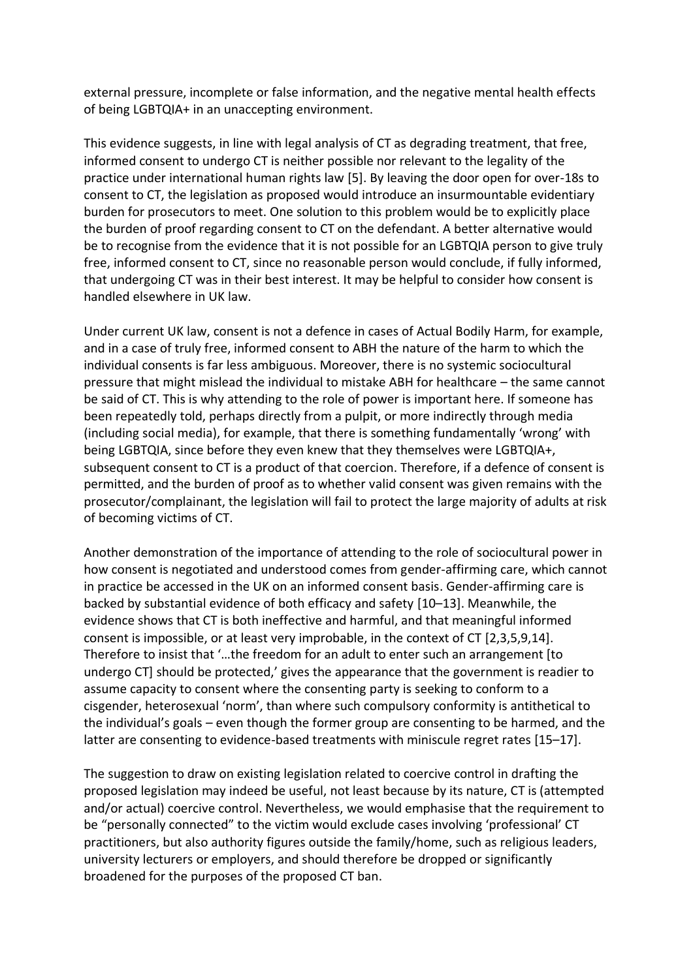external pressure, incomplete or false information, and the negative mental health effects of being LGBTQIA+ in an unaccepting environment.

This evidence suggests, in line with legal analysis of CT as degrading treatment, that free, informed consent to undergo CT is neither possible nor relevant to the legality of the practice under international human rights law [5]. By leaving the door open for over-18s to consent to CT, the legislation as proposed would introduce an insurmountable evidentiary burden for prosecutors to meet. One solution to this problem would be to explicitly place the burden of proof regarding consent to CT on the defendant. A better alternative would be to recognise from the evidence that it is not possible for an LGBTQIA person to give truly free, informed consent to CT, since no reasonable person would conclude, if fully informed, that undergoing CT was in their best interest. It may be helpful to consider how consent is handled elsewhere in UK law.

Under current UK law, consent is not a defence in cases of Actual Bodily Harm, for example, and in a case of truly free, informed consent to ABH the nature of the harm to which the individual consents is far less ambiguous. Moreover, there is no systemic sociocultural pressure that might mislead the individual to mistake ABH for healthcare – the same cannot be said of CT. This is why attending to the role of power is important here. If someone has been repeatedly told, perhaps directly from a pulpit, or more indirectly through media (including social media), for example, that there is something fundamentally 'wrong' with being LGBTQIA, since before they even knew that they themselves were LGBTQIA+, subsequent consent to CT is a product of that coercion. Therefore, if a defence of consent is permitted, and the burden of proof as to whether valid consent was given remains with the prosecutor/complainant, the legislation will fail to protect the large majority of adults at risk of becoming victims of CT.

Another demonstration of the importance of attending to the role of sociocultural power in how consent is negotiated and understood comes from gender-affirming care, which cannot in practice be accessed in the UK on an informed consent basis. Gender-affirming care is backed by substantial evidence of both efficacy and safety [10–13]. Meanwhile, the evidence shows that CT is both ineffective and harmful, and that meaningful informed consent is impossible, or at least very improbable, in the context of CT [2,3,5,9,14]. Therefore to insist that '…the freedom for an adult to enter such an arrangement [to undergo CT] should be protected,' gives the appearance that the government is readier to assume capacity to consent where the consenting party is seeking to conform to a cisgender, heterosexual 'norm', than where such compulsory conformity is antithetical to the individual's goals – even though the former group are consenting to be harmed, and the latter are consenting to evidence-based treatments with miniscule regret rates [15–17].

The suggestion to draw on existing legislation related to coercive control in drafting the proposed legislation may indeed be useful, not least because by its nature, CT is (attempted and/or actual) coercive control. Nevertheless, we would emphasise that the requirement to be "personally connected" to the victim would exclude cases involving 'professional' CT practitioners, but also authority figures outside the family/home, such as religious leaders, university lecturers or employers, and should therefore be dropped or significantly broadened for the purposes of the proposed CT ban.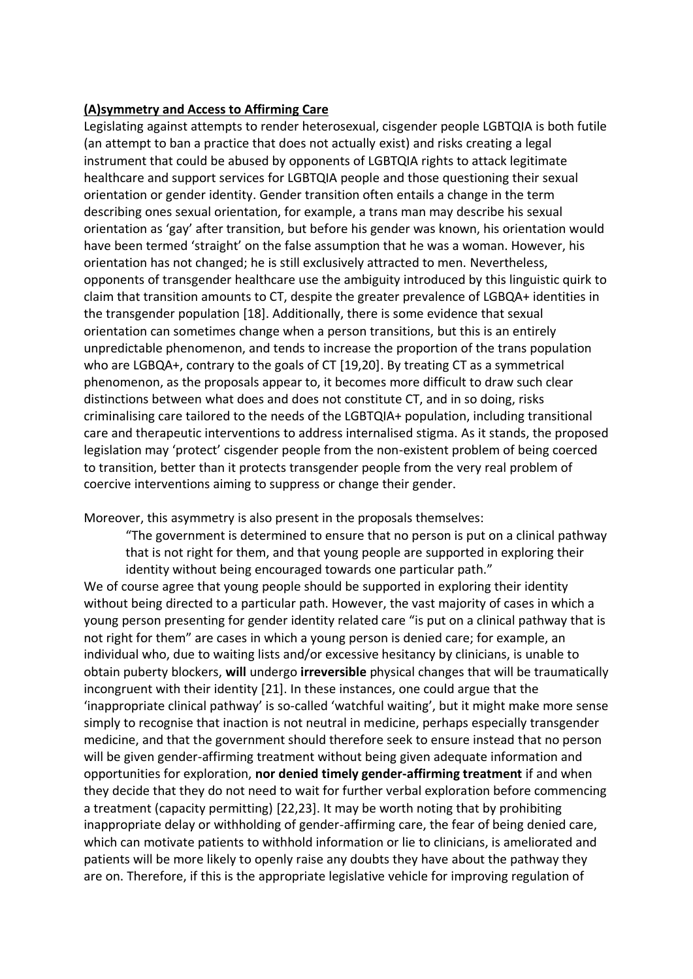# **(A)symmetry and Access to Affirming Care**

Legislating against attempts to render heterosexual, cisgender people LGBTQIA is both futile (an attempt to ban a practice that does not actually exist) and risks creating a legal instrument that could be abused by opponents of LGBTQIA rights to attack legitimate healthcare and support services for LGBTQIA people and those questioning their sexual orientation or gender identity. Gender transition often entails a change in the term describing ones sexual orientation, for example, a trans man may describe his sexual orientation as 'gay' after transition, but before his gender was known, his orientation would have been termed 'straight' on the false assumption that he was a woman. However, his orientation has not changed; he is still exclusively attracted to men. Nevertheless, opponents of transgender healthcare use the ambiguity introduced by this linguistic quirk to claim that transition amounts to CT, despite the greater prevalence of LGBQA+ identities in the transgender population [18]. Additionally, there is some evidence that sexual orientation can sometimes change when a person transitions, but this is an entirely unpredictable phenomenon, and tends to increase the proportion of the trans population who are LGBQA+, contrary to the goals of CT [19,20]. By treating CT as a symmetrical phenomenon, as the proposals appear to, it becomes more difficult to draw such clear distinctions between what does and does not constitute CT, and in so doing, risks criminalising care tailored to the needs of the LGBTQIA+ population, including transitional care and therapeutic interventions to address internalised stigma. As it stands, the proposed legislation may 'protect' cisgender people from the non-existent problem of being coerced to transition, better than it protects transgender people from the very real problem of coercive interventions aiming to suppress or change their gender.

Moreover, this asymmetry is also present in the proposals themselves:

"The government is determined to ensure that no person is put on a clinical pathway that is not right for them, and that young people are supported in exploring their identity without being encouraged towards one particular path."

We of course agree that young people should be supported in exploring their identity without being directed to a particular path. However, the vast majority of cases in which a young person presenting for gender identity related care "is put on a clinical pathway that is not right for them" are cases in which a young person is denied care; for example, an individual who, due to waiting lists and/or excessive hesitancy by clinicians, is unable to obtain puberty blockers, **will** undergo **irreversible** physical changes that will be traumatically incongruent with their identity [21]. In these instances, one could argue that the 'inappropriate clinical pathway' is so-called 'watchful waiting', but it might make more sense simply to recognise that inaction is not neutral in medicine, perhaps especially transgender medicine, and that the government should therefore seek to ensure instead that no person will be given gender-affirming treatment without being given adequate information and opportunities for exploration, **nor denied timely gender-affirming treatment** if and when they decide that they do not need to wait for further verbal exploration before commencing a treatment (capacity permitting) [22,23]. It may be worth noting that by prohibiting inappropriate delay or withholding of gender-affirming care, the fear of being denied care, which can motivate patients to withhold information or lie to clinicians, is ameliorated and patients will be more likely to openly raise any doubts they have about the pathway they are on. Therefore, if this is the appropriate legislative vehicle for improving regulation of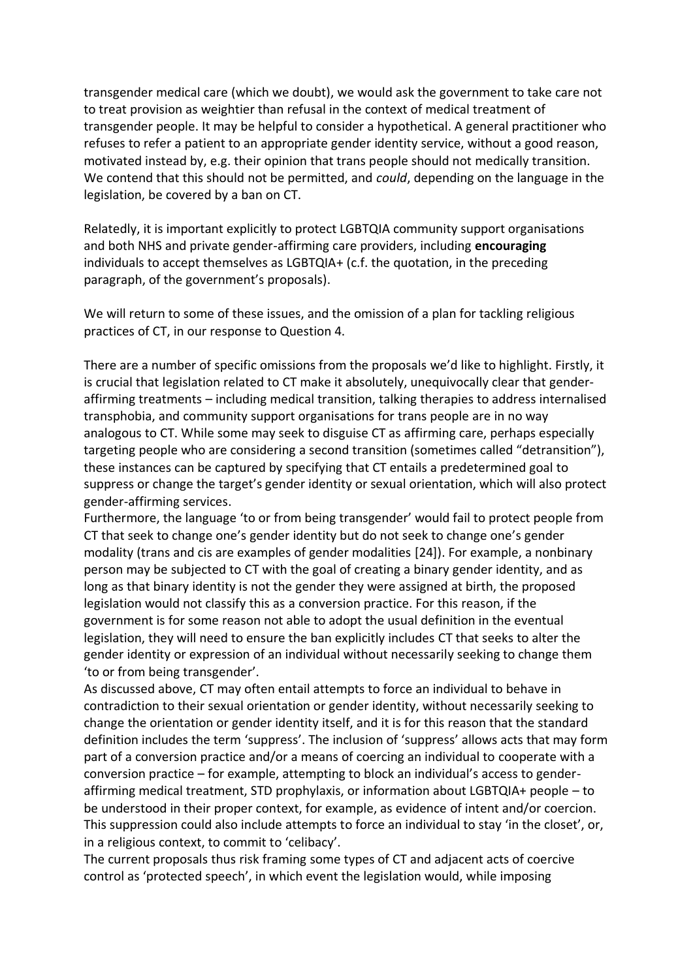transgender medical care (which we doubt), we would ask the government to take care not to treat provision as weightier than refusal in the context of medical treatment of transgender people. It may be helpful to consider a hypothetical. A general practitioner who refuses to refer a patient to an appropriate gender identity service, without a good reason, motivated instead by, e.g. their opinion that trans people should not medically transition. We contend that this should not be permitted, and *could*, depending on the language in the legislation, be covered by a ban on CT.

Relatedly, it is important explicitly to protect LGBTQIA community support organisations and both NHS and private gender-affirming care providers, including **encouraging** individuals to accept themselves as LGBTQIA+ (c.f. the quotation, in the preceding paragraph, of the government's proposals).

We will return to some of these issues, and the omission of a plan for tackling religious practices of CT, in our response to Question 4.

There are a number of specific omissions from the proposals we'd like to highlight. Firstly, it is crucial that legislation related to CT make it absolutely, unequivocally clear that genderaffirming treatments – including medical transition, talking therapies to address internalised transphobia, and community support organisations for trans people are in no way analogous to CT. While some may seek to disguise CT as affirming care, perhaps especially targeting people who are considering a second transition (sometimes called "detransition"), these instances can be captured by specifying that CT entails a predetermined goal to suppress or change the target's gender identity or sexual orientation, which will also protect gender-affirming services.

Furthermore, the language 'to or from being transgender' would fail to protect people from CT that seek to change one's gender identity but do not seek to change one's gender modality (trans and cis are examples of gender modalities [24]). For example, a nonbinary person may be subjected to CT with the goal of creating a binary gender identity, and as long as that binary identity is not the gender they were assigned at birth, the proposed legislation would not classify this as a conversion practice. For this reason, if the government is for some reason not able to adopt the usual definition in the eventual legislation, they will need to ensure the ban explicitly includes CT that seeks to alter the gender identity or expression of an individual without necessarily seeking to change them 'to or from being transgender'.

As discussed above, CT may often entail attempts to force an individual to behave in contradiction to their sexual orientation or gender identity, without necessarily seeking to change the orientation or gender identity itself, and it is for this reason that the standard definition includes the term 'suppress'. The inclusion of 'suppress' allows acts that may form part of a conversion practice and/or a means of coercing an individual to cooperate with a conversion practice – for example, attempting to block an individual's access to genderaffirming medical treatment, STD prophylaxis, or information about LGBTQIA+ people – to be understood in their proper context, for example, as evidence of intent and/or coercion. This suppression could also include attempts to force an individual to stay 'in the closet', or, in a religious context, to commit to 'celibacy'.

The current proposals thus risk framing some types of CT and adjacent acts of coercive control as 'protected speech', in which event the legislation would, while imposing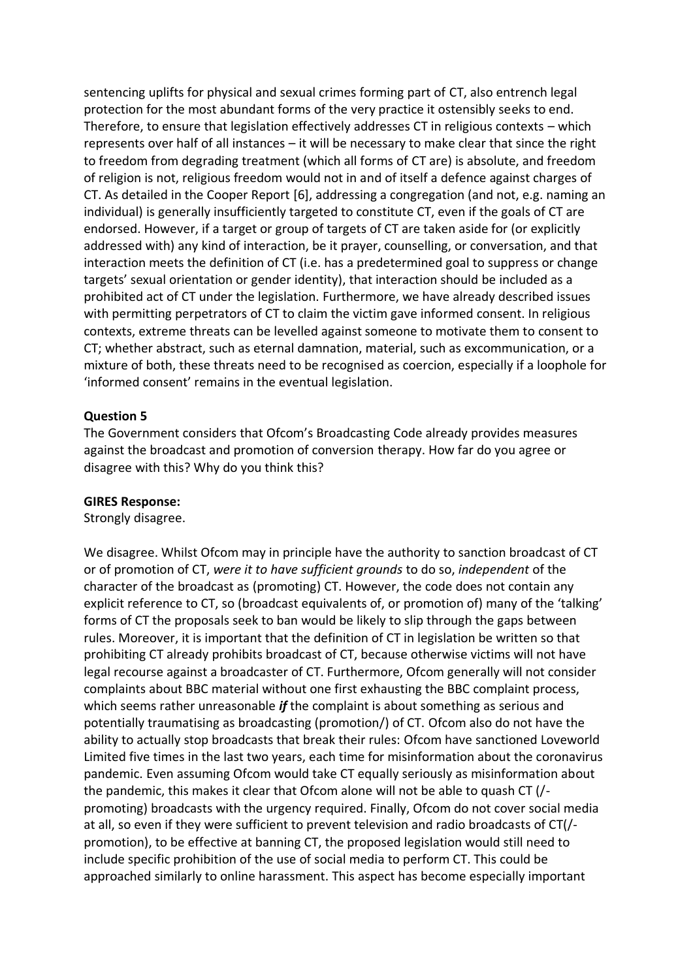sentencing uplifts for physical and sexual crimes forming part of CT, also entrench legal protection for the most abundant forms of the very practice it ostensibly seeks to end. Therefore, to ensure that legislation effectively addresses CT in religious contexts – which represents over half of all instances – it will be necessary to make clear that since the right to freedom from degrading treatment (which all forms of CT are) is absolute, and freedom of religion is not, religious freedom would not in and of itself a defence against charges of CT. As detailed in the Cooper Report [6], addressing a congregation (and not, e.g. naming an individual) is generally insufficiently targeted to constitute CT, even if the goals of CT are endorsed. However, if a target or group of targets of CT are taken aside for (or explicitly addressed with) any kind of interaction, be it prayer, counselling, or conversation, and that interaction meets the definition of CT (i.e. has a predetermined goal to suppress or change targets' sexual orientation or gender identity), that interaction should be included as a prohibited act of CT under the legislation. Furthermore, we have already described issues with permitting perpetrators of CT to claim the victim gave informed consent. In religious contexts, extreme threats can be levelled against someone to motivate them to consent to CT; whether abstract, such as eternal damnation, material, such as excommunication, or a mixture of both, these threats need to be recognised as coercion, especially if a loophole for 'informed consent' remains in the eventual legislation.

#### **Question 5**

The Government considers that Ofcom's Broadcasting Code already provides measures against the broadcast and promotion of conversion therapy. How far do you agree or disagree with this? Why do you think this?

#### **GIRES Response:**

Strongly disagree.

We disagree. Whilst Ofcom may in principle have the authority to sanction broadcast of CT or of promotion of CT, *were it to have sufficient grounds* to do so, *independent* of the character of the broadcast as (promoting) CT. However, the code does not contain any explicit reference to CT, so (broadcast equivalents of, or promotion of) many of the 'talking' forms of CT the proposals seek to ban would be likely to slip through the gaps between rules. Moreover, it is important that the definition of CT in legislation be written so that prohibiting CT already prohibits broadcast of CT, because otherwise victims will not have legal recourse against a broadcaster of CT. Furthermore, Ofcom generally will not consider complaints about BBC material without one first exhausting the BBC complaint process, which seems rather unreasonable *if* the complaint is about something as serious and potentially traumatising as broadcasting (promotion/) of CT. Ofcom also do not have the ability to actually stop broadcasts that break their rules: Ofcom have sanctioned Loveworld Limited five times in the last two years, each time for misinformation about the coronavirus pandemic. Even assuming Ofcom would take CT equally seriously as misinformation about the pandemic, this makes it clear that Ofcom alone will not be able to quash CT (/ promoting) broadcasts with the urgency required. Finally, Ofcom do not cover social media at all, so even if they were sufficient to prevent television and radio broadcasts of CT(/ promotion), to be effective at banning CT, the proposed legislation would still need to include specific prohibition of the use of social media to perform CT. This could be approached similarly to online harassment. This aspect has become especially important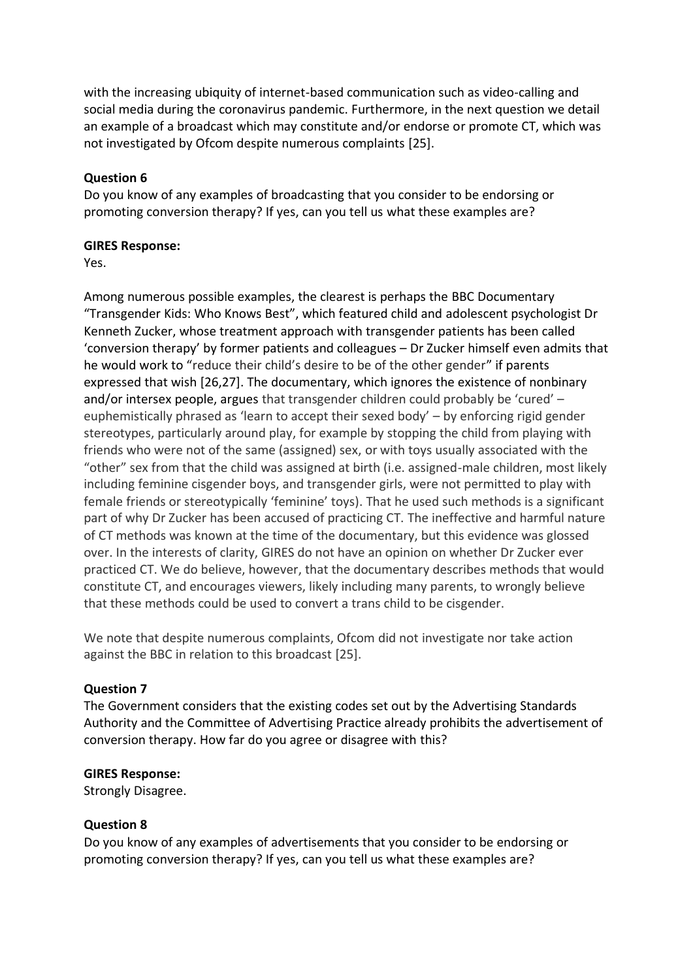with the increasing ubiquity of internet-based communication such as video-calling and social media during the coronavirus pandemic. Furthermore, in the next question we detail an example of a broadcast which may constitute and/or endorse or promote CT, which was not investigated by Ofcom despite numerous complaints [25].

# **Question 6**

Do you know of any examples of broadcasting that you consider to be endorsing or promoting conversion therapy? If yes, can you tell us what these examples are?

#### **GIRES Response:**

Yes.

Among numerous possible examples, the clearest is perhaps the BBC Documentary "Transgender Kids: Who Knows Best", which featured child and adolescent psychologist Dr Kenneth Zucker, whose treatment approach with transgender patients has been called 'conversion therapy' by former patients and colleagues – Dr Zucker himself even admits that he would work to "reduce their child's desire to be of the other gender" if parents expressed that wish [26,27]. The documentary, which ignores the existence of nonbinary and/or intersex people, argues that transgender children could probably be 'cured' – euphemistically phrased as 'learn to accept their sexed body' – by enforcing rigid gender stereotypes, particularly around play, for example by stopping the child from playing with friends who were not of the same (assigned) sex, or with toys usually associated with the "other" sex from that the child was assigned at birth (i.e. assigned-male children, most likely including feminine cisgender boys, and transgender girls, were not permitted to play with female friends or stereotypically 'feminine' toys). That he used such methods is a significant part of why Dr Zucker has been accused of practicing CT. The ineffective and harmful nature of CT methods was known at the time of the documentary, but this evidence was glossed over. In the interests of clarity, GIRES do not have an opinion on whether Dr Zucker ever practiced CT. We do believe, however, that the documentary describes methods that would constitute CT, and encourages viewers, likely including many parents, to wrongly believe that these methods could be used to convert a trans child to be cisgender.

We note that despite numerous complaints, Ofcom did not investigate nor take action against the BBC in relation to this broadcast [25].

# **Question 7**

The Government considers that the existing codes set out by the Advertising Standards Authority and the Committee of Advertising Practice already prohibits the advertisement of conversion therapy. How far do you agree or disagree with this?

#### **GIRES Response:**

Strongly Disagree.

# **Question 8**

Do you know of any examples of advertisements that you consider to be endorsing or promoting conversion therapy? If yes, can you tell us what these examples are?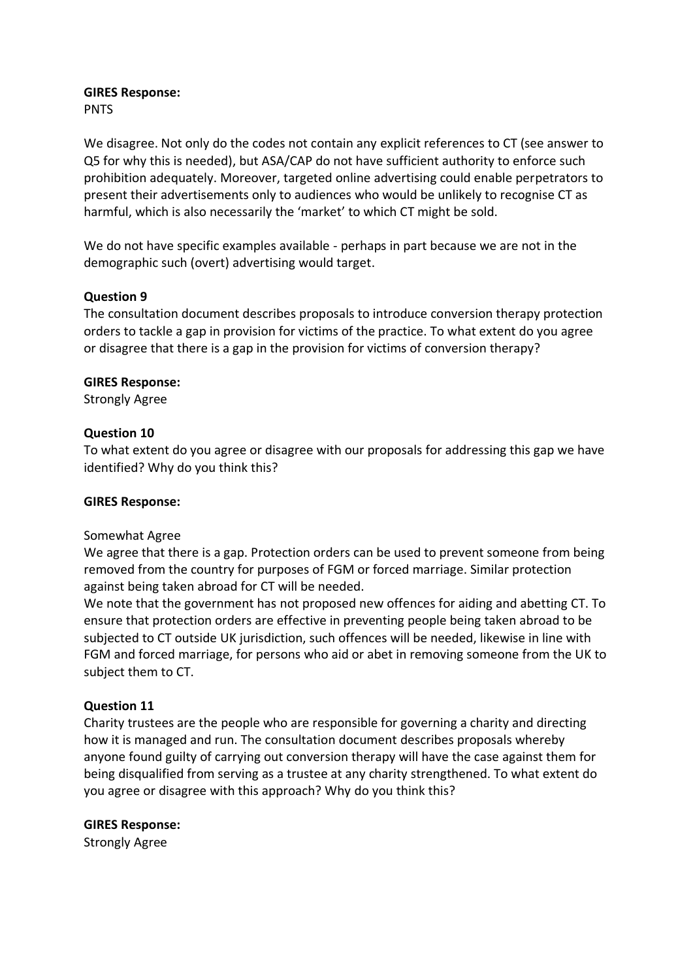#### **GIRES Response:**

PNTS

We disagree. Not only do the codes not contain any explicit references to CT (see answer to Q5 for why this is needed), but ASA/CAP do not have sufficient authority to enforce such prohibition adequately. Moreover, targeted online advertising could enable perpetrators to present their advertisements only to audiences who would be unlikely to recognise CT as harmful, which is also necessarily the 'market' to which CT might be sold.

We do not have specific examples available - perhaps in part because we are not in the demographic such (overt) advertising would target.

# **Question 9**

The consultation document describes proposals to introduce conversion therapy protection orders to tackle a gap in provision for victims of the practice. To what extent do you agree or disagree that there is a gap in the provision for victims of conversion therapy?

# **GIRES Response:**

Strongly Agree

# **Question 10**

To what extent do you agree or disagree with our proposals for addressing this gap we have identified? Why do you think this?

# **GIRES Response:**

# Somewhat Agree

We agree that there is a gap. Protection orders can be used to prevent someone from being removed from the country for purposes of FGM or forced marriage. Similar protection against being taken abroad for CT will be needed.

We note that the government has not proposed new offences for aiding and abetting CT. To ensure that protection orders are effective in preventing people being taken abroad to be subjected to CT outside UK jurisdiction, such offences will be needed, likewise in line with FGM and forced marriage, for persons who aid or abet in removing someone from the UK to subject them to CT.

# **Question 11**

Charity trustees are the people who are responsible for governing a charity and directing how it is managed and run. The consultation document describes proposals whereby anyone found guilty of carrying out conversion therapy will have the case against them for being disqualified from serving as a trustee at any charity strengthened. To what extent do you agree or disagree with this approach? Why do you think this?

# **GIRES Response:**

Strongly Agree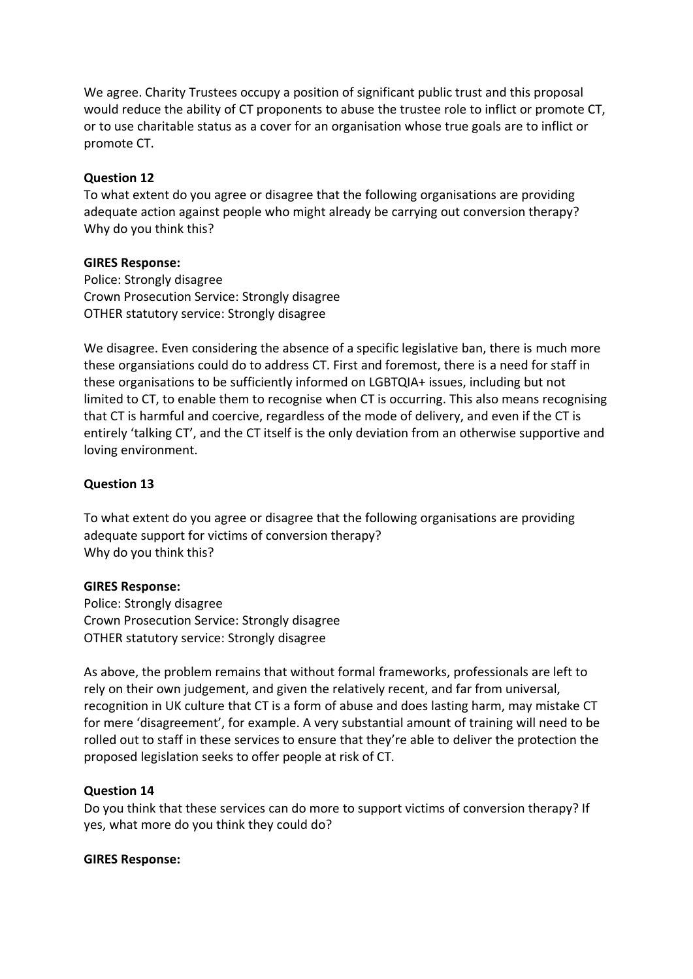We agree. Charity Trustees occupy a position of significant public trust and this proposal would reduce the ability of CT proponents to abuse the trustee role to inflict or promote CT, or to use charitable status as a cover for an organisation whose true goals are to inflict or promote CT.

#### **Question 12**

To what extent do you agree or disagree that the following organisations are providing adequate action against people who might already be carrying out conversion therapy? Why do you think this?

#### **GIRES Response:**

Police: Strongly disagree Crown Prosecution Service: Strongly disagree OTHER statutory service: Strongly disagree

We disagree. Even considering the absence of a specific legislative ban, there is much more these organsiations could do to address CT. First and foremost, there is a need for staff in these organisations to be sufficiently informed on LGBTQIA+ issues, including but not limited to CT, to enable them to recognise when CT is occurring. This also means recognising that CT is harmful and coercive, regardless of the mode of delivery, and even if the CT is entirely 'talking CT', and the CT itself is the only deviation from an otherwise supportive and loving environment.

### **Question 13**

To what extent do you agree or disagree that the following organisations are providing adequate support for victims of conversion therapy? Why do you think this?

#### **GIRES Response:**

Police: Strongly disagree Crown Prosecution Service: Strongly disagree OTHER statutory service: Strongly disagree

As above, the problem remains that without formal frameworks, professionals are left to rely on their own judgement, and given the relatively recent, and far from universal, recognition in UK culture that CT is a form of abuse and does lasting harm, may mistake CT for mere 'disagreement', for example. A very substantial amount of training will need to be rolled out to staff in these services to ensure that they're able to deliver the protection the proposed legislation seeks to offer people at risk of CT.

# **Question 14**

Do you think that these services can do more to support victims of conversion therapy? If yes, what more do you think they could do?

#### **GIRES Response:**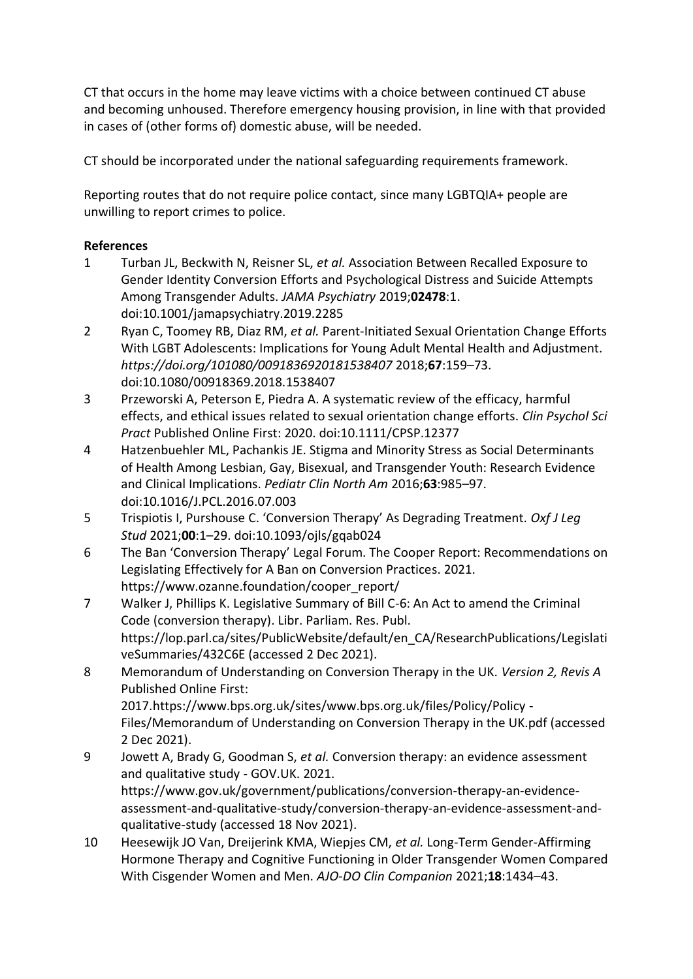CT that occurs in the home may leave victims with a choice between continued CT abuse and becoming unhoused. Therefore emergency housing provision, in line with that provided in cases of (other forms of) domestic abuse, will be needed.

CT should be incorporated under the national safeguarding requirements framework.

Reporting routes that do not require police contact, since many LGBTQIA+ people are unwilling to report crimes to police.

# **References**

- 1 Turban JL, Beckwith N, Reisner SL, *et al.* Association Between Recalled Exposure to Gender Identity Conversion Efforts and Psychological Distress and Suicide Attempts Among Transgender Adults. *JAMA Psychiatry* 2019;**02478**:1. doi:10.1001/jamapsychiatry.2019.2285
- 2 Ryan C, Toomey RB, Diaz RM, *et al.* Parent-Initiated Sexual Orientation Change Efforts With LGBT Adolescents: Implications for Young Adult Mental Health and Adjustment. *https://doi.org/101080/0091836920181538407* 2018;**67**:159–73. doi:10.1080/00918369.2018.1538407
- 3 Przeworski A, Peterson E, Piedra A. A systematic review of the efficacy, harmful effects, and ethical issues related to sexual orientation change efforts. *Clin Psychol Sci Pract* Published Online First: 2020. doi:10.1111/CPSP.12377
- 4 Hatzenbuehler ML, Pachankis JE. Stigma and Minority Stress as Social Determinants of Health Among Lesbian, Gay, Bisexual, and Transgender Youth: Research Evidence and Clinical Implications. *Pediatr Clin North Am* 2016;**63**:985–97. doi:10.1016/J.PCL.2016.07.003
- 5 Trispiotis I, Purshouse C. 'Conversion Therapy' As Degrading Treatment. *Oxf J Leg Stud* 2021;**00**:1–29. doi:10.1093/ojls/gqab024
- 6 The Ban 'Conversion Therapy' Legal Forum. The Cooper Report: Recommendations on Legislating Effectively for A Ban on Conversion Practices. 2021. https://www.ozanne.foundation/cooper\_report/
- 7 Walker J, Phillips K. Legislative Summary of Bill C-6: An Act to amend the Criminal Code (conversion therapy). Libr. Parliam. Res. Publ. https://lop.parl.ca/sites/PublicWebsite/default/en\_CA/ResearchPublications/Legislati veSummaries/432C6E (accessed 2 Dec 2021).
- 8 Memorandum of Understanding on Conversion Therapy in the UK. *Version 2, Revis A* Published Online First: 2017.https://www.bps.org.uk/sites/www.bps.org.uk/files/Policy/Policy - Files/Memorandum of Understanding on Conversion Therapy in the UK.pdf (accessed 2 Dec 2021).
- 9 Jowett A, Brady G, Goodman S, *et al.* Conversion therapy: an evidence assessment and qualitative study - GOV.UK. 2021. https://www.gov.uk/government/publications/conversion-therapy-an-evidenceassessment-and-qualitative-study/conversion-therapy-an-evidence-assessment-andqualitative-study (accessed 18 Nov 2021).
- 10 Heesewijk JO Van, Dreijerink KMA, Wiepjes CM, *et al.* Long-Term Gender-Affirming Hormone Therapy and Cognitive Functioning in Older Transgender Women Compared With Cisgender Women and Men. *AJO-DO Clin Companion* 2021;**18**:1434–43.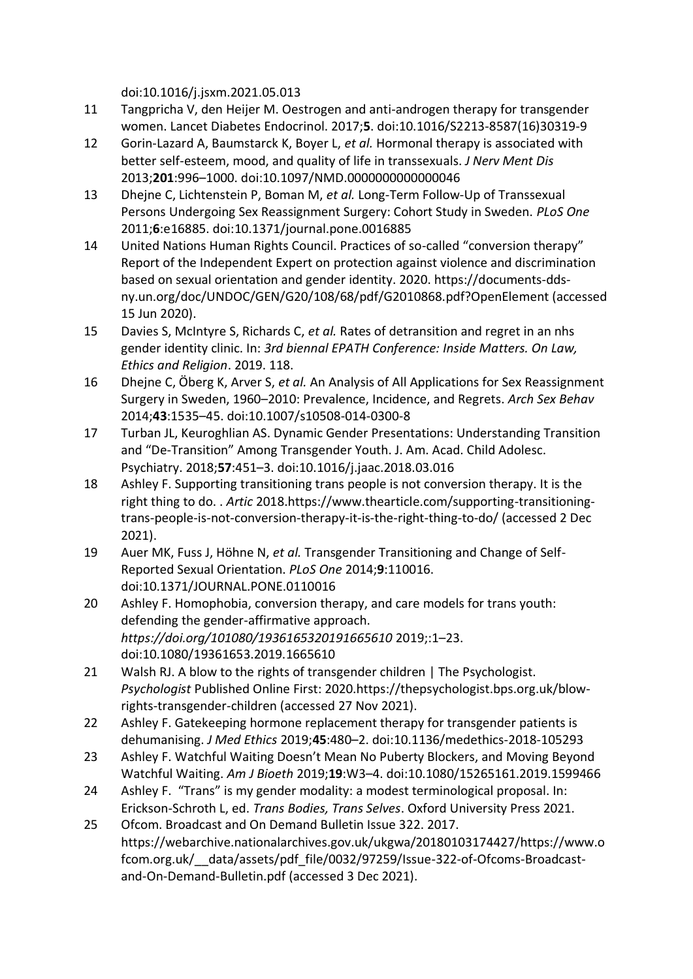doi:10.1016/j.jsxm.2021.05.013

- 11 Tangpricha V, den Heijer M. Oestrogen and anti-androgen therapy for transgender women. Lancet Diabetes Endocrinol. 2017;**5**. doi:10.1016/S2213-8587(16)30319-9
- 12 Gorin-Lazard A, Baumstarck K, Boyer L, *et al.* Hormonal therapy is associated with better self-esteem, mood, and quality of life in transsexuals. *J Nerv Ment Dis* 2013;**201**:996–1000. doi:10.1097/NMD.0000000000000046
- 13 Dhejne C, Lichtenstein P, Boman M, *et al.* Long-Term Follow-Up of Transsexual Persons Undergoing Sex Reassignment Surgery: Cohort Study in Sweden. *PLoS One* 2011;**6**:e16885. doi:10.1371/journal.pone.0016885
- 14 United Nations Human Rights Council. Practices of so-called "conversion therapy" Report of the Independent Expert on protection against violence and discrimination based on sexual orientation and gender identity. 2020. https://documents-ddsny.un.org/doc/UNDOC/GEN/G20/108/68/pdf/G2010868.pdf?OpenElement (accessed 15 Jun 2020).
- 15 Davies S, McIntyre S, Richards C, *et al.* Rates of detransition and regret in an nhs gender identity clinic. In: *3rd biennal EPATH Conference: Inside Matters. On Law, Ethics and Religion*. 2019. 118.
- 16 Dhejne C, Öberg K, Arver S, *et al.* An Analysis of All Applications for Sex Reassignment Surgery in Sweden, 1960–2010: Prevalence, Incidence, and Regrets. *Arch Sex Behav* 2014;**43**:1535–45. doi:10.1007/s10508-014-0300-8
- 17 Turban JL, Keuroghlian AS. Dynamic Gender Presentations: Understanding Transition and "De-Transition" Among Transgender Youth. J. Am. Acad. Child Adolesc. Psychiatry. 2018;**57**:451–3. doi:10.1016/j.jaac.2018.03.016
- 18 Ashley F. Supporting transitioning trans people is not conversion therapy. It is the right thing to do. . *Artic* 2018.https://www.thearticle.com/supporting-transitioningtrans-people-is-not-conversion-therapy-it-is-the-right-thing-to-do/ (accessed 2 Dec 2021).
- 19 Auer MK, Fuss J, Höhne N, *et al.* Transgender Transitioning and Change of Self-Reported Sexual Orientation. *PLoS One* 2014;**9**:110016. doi:10.1371/JOURNAL.PONE.0110016
- 20 Ashley F. Homophobia, conversion therapy, and care models for trans youth: defending the gender-affirmative approach. *https://doi.org/101080/1936165320191665610* 2019;:1–23. doi:10.1080/19361653.2019.1665610
- 21 Walsh RJ. A blow to the rights of transgender children | The Psychologist. *Psychologist* Published Online First: 2020.https://thepsychologist.bps.org.uk/blowrights-transgender-children (accessed 27 Nov 2021).
- 22 Ashley F. Gatekeeping hormone replacement therapy for transgender patients is dehumanising. *J Med Ethics* 2019;**45**:480–2. doi:10.1136/medethics-2018-105293
- 23 Ashley F. Watchful Waiting Doesn't Mean No Puberty Blockers, and Moving Beyond Watchful Waiting. *Am J Bioeth* 2019;**19**:W3–4. doi:10.1080/15265161.2019.1599466
- 24 Ashley F. "Trans" is my gender modality: a modest terminological proposal. In: Erickson-Schroth L, ed. *Trans Bodies, Trans Selves*. Oxford University Press 2021.
- 25 Ofcom. Broadcast and On Demand Bulletin Issue 322. 2017. https://webarchive.nationalarchives.gov.uk/ukgwa/20180103174427/https://www.o fcom.org.uk/\_\_data/assets/pdf\_file/0032/97259/Issue-322-of-Ofcoms-Broadcastand-On-Demand-Bulletin.pdf (accessed 3 Dec 2021).